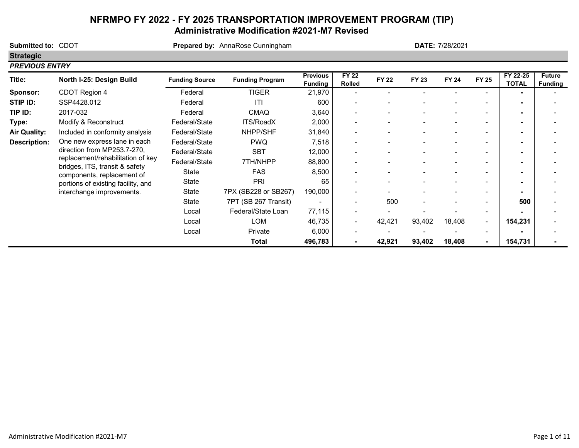# NFRMPO FY 2022 - FY 2025 TRANSPORTATION IMPROVEMENT PROGRAM (TIP) Administrative Modification #2021-M7 Revised

Submitted to: CDOT **Prepared by:** AnnaRose Cunningham **Strategic** PREVIOUS ENTRY Title: North I-25: Design Build Funding Source Funding Program Previous Funding FY 22  $PY$  22 FY 22 FY 23 FY 24 FY 25 FY 22-25<br>Rolled FY 22 FY 23 FY 24 FY 25 TOTAL **TOTAL Future** Funding Sponsor: CDOT Region 4 Federal TIGER 21,970 - - - - - - - - - | - | -STIP ID: SSP4428.012 Federal ITI - 600 - - - - - - **TIP ID:** 2017-032 Federal CMAQ 3,640 -Type: Modify & Reconstruct Federal/State ITS/RoadX 2,000 - - - - - - - Air Quality: Included in conformity analysis Federal/State NHPP/SHF 31,840 - - - - - - - - - - - - - - - - - -Description: Federal/State PWQ 7,518 - - - - - - - One new express lane in each Federal/State SBT 12,000 - - - - - - - Federal/State 7TH/NHPP 88,800 - - - - - - -State FAS 8,500 | | | -State PRI 65 - - - - - - - State 7PX (SB228 or SB267) 190,000 - - - - - - - State 7PT (SB 267 Transit) - | - 500 - - - - | 500 Local Federal/State Loan 77,115 | - - - - - - - - -Local LOM 46,735 - 42,421 93,402 18,408 - 154,231 - Local Private 6,000 - - - - - - - Total 496,783 - 42,921 93,402 18,408 - 154,731 - DATE: 7/28/2021 direction from MP253.7-270, replacement/rehabilitation of key bridges, ITS, transit & safety components, replacement of portions of existing facility, and interchange improvements.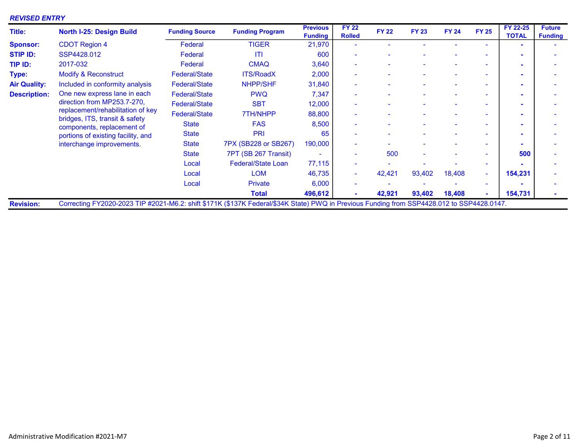### REVISED ENTRY

| Title:              | <b>North I-25: Design Build</b>                                                                                                            | <b>Funding Source</b> | <b>Funding Program</b>    | <b>Previous</b><br><b>Funding</b> | <b>FY 22</b><br><b>Rolled</b> | <b>FY 22</b> | <b>FY 23</b> | <b>FY 24</b> | <b>FY 25</b> | FY 22-25<br><b>TOTAL</b> | <b>Future</b><br><b>Funding</b> |
|---------------------|--------------------------------------------------------------------------------------------------------------------------------------------|-----------------------|---------------------------|-----------------------------------|-------------------------------|--------------|--------------|--------------|--------------|--------------------------|---------------------------------|
| <b>Sponsor:</b>     | <b>CDOT Region 4</b>                                                                                                                       | Federal               | <b>TIGER</b>              | 21,970                            |                               |              |              |              |              |                          |                                 |
| <b>STIP ID:</b>     | SSP4428.012                                                                                                                                | Federal               | <b>ITI</b>                | 600                               |                               |              |              |              |              |                          |                                 |
| TIP ID:             | 2017-032                                                                                                                                   | Federal               | <b>CMAQ</b>               | 3,640                             | $\overline{\phantom{a}}$      |              |              |              | ÷            |                          |                                 |
| Type:               | <b>Modify &amp; Reconstruct</b>                                                                                                            | <b>Federal/State</b>  | <b>ITS/RoadX</b>          | 2,000                             |                               |              |              |              | ۰            |                          |                                 |
| <b>Air Quality:</b> | Included in conformity analysis                                                                                                            | <b>Federal/State</b>  | <b>NHPP/SHF</b>           | 31,840                            |                               |              |              |              | ۰            |                          |                                 |
| <b>Description:</b> | One new express lane in each                                                                                                               | <b>Federal/State</b>  | <b>PWQ</b>                | 7,347                             |                               |              |              |              | ۰            |                          |                                 |
|                     | direction from MP253.7-270,                                                                                                                | <b>Federal/State</b>  | <b>SBT</b>                | 12,000                            | $\sim$                        |              |              |              | ٠            |                          |                                 |
|                     | replacement/rehabilitation of key                                                                                                          | <b>Federal/State</b>  | 7TH/NHPP                  | 88,800                            |                               |              |              |              | ۰            |                          |                                 |
|                     | bridges, ITS, transit & safety<br>components, replacement of                                                                               | <b>State</b>          | <b>FAS</b>                | 8,500                             |                               |              |              |              | ۰            |                          |                                 |
|                     | portions of existing facility, and                                                                                                         | <b>State</b>          | PRI                       | 65                                |                               |              |              |              | ÷            |                          |                                 |
|                     | interchange improvements.                                                                                                                  | <b>State</b>          | 7PX (SB228 or SB267)      | 190,000                           | $\overline{\phantom{a}}$      |              |              |              | ۰            |                          |                                 |
|                     |                                                                                                                                            | <b>State</b>          | 7PT (SB 267 Transit)      |                                   |                               | 500          |              |              | ÷            | 500                      |                                 |
|                     |                                                                                                                                            | Local                 | <b>Federal/State Loan</b> | 77,115                            |                               |              |              |              | ÷            |                          |                                 |
|                     |                                                                                                                                            | Local                 | <b>LOM</b>                | 46,735                            | $\blacksquare$                | 42,421       | 93,402       | 18,408       | ÷.           | 154,231                  |                                 |
|                     |                                                                                                                                            | Local                 | <b>Private</b>            | 6,000                             |                               |              |              |              |              |                          |                                 |
|                     |                                                                                                                                            |                       | <b>Total</b>              | 496,612                           |                               | 42,921       | 93,402       | 18,408       |              | 154,731                  |                                 |
| <b>Revision:</b>    | Correcting FY2020-2023 TIP #2021-M6.2: shift \$171K (\$137K Federal/\$34K State) PWQ in Previous Funding from SSP4428.012 to SSP4428.0147. |                       |                           |                                   |                               |              |              |              |              |                          |                                 |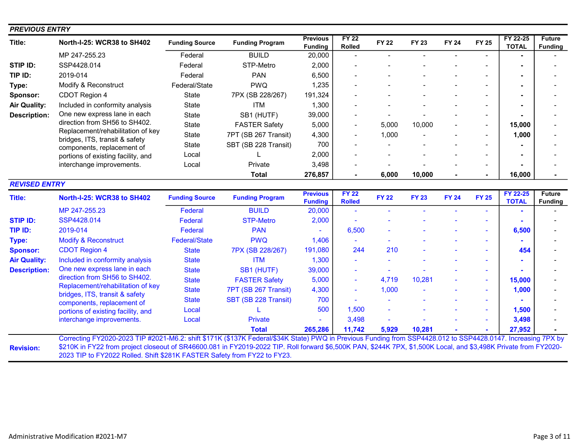| <b>PREVIOUS ENTRY</b> |                                                              |                       |                        |                                   |                                     |              |              |              |                |                          |                                 |
|-----------------------|--------------------------------------------------------------|-----------------------|------------------------|-----------------------------------|-------------------------------------|--------------|--------------|--------------|----------------|--------------------------|---------------------------------|
| Title:                | North-I-25: WCR38 to SH402                                   | <b>Funding Source</b> | <b>Funding Program</b> | <b>Previous</b><br><b>Funding</b> | $\overline{FY}$ 22<br><b>Rolled</b> | <b>FY 22</b> | <b>FY 23</b> | <b>FY 24</b> | <b>FY 25</b>   | FY 22-25<br><b>TOTAL</b> | <b>Future</b><br><b>Funding</b> |
|                       | MP 247-255.23                                                | Federal               | <b>BUILD</b>           | 20,000                            |                                     |              |              |              |                |                          |                                 |
| STIP ID:              | SSP4428.014                                                  | Federal               | STP-Metro              | 2,000                             |                                     |              |              |              |                |                          |                                 |
| TIP ID:               | 2019-014                                                     | Federal               | <b>PAN</b>             | 6,500                             |                                     |              |              |              |                |                          |                                 |
| Type:                 | Modify & Reconstruct                                         | Federal/State         | <b>PWQ</b>             | 1,235                             |                                     |              |              |              |                |                          |                                 |
| Sponsor:              | CDOT Region 4                                                | State                 | 7PX (SB 228/267)       | 191,324                           |                                     |              |              |              |                |                          |                                 |
| <b>Air Quality:</b>   | Included in conformity analysis                              | <b>State</b>          | <b>ITM</b>             | 1,300                             |                                     |              |              |              |                |                          |                                 |
| <b>Description:</b>   | One new express lane in each                                 | State                 | SB1 (HUTF)             | 39,000                            |                                     |              |              |              | $\blacksquare$ |                          |                                 |
|                       | direction from SH56 to SH402.                                | State                 | <b>FASTER Safety</b>   | 5,000                             | $\blacksquare$                      | 5,000        | 10,000       |              | Ξ.             | 15,000                   |                                 |
|                       | Replacement/rehabilitation of key                            | State                 | 7PT (SB 267 Transit)   | 4,300                             | $\overline{a}$                      | 1,000        |              |              |                | 1,000                    |                                 |
|                       | bridges, ITS, transit & safety<br>components, replacement of | State                 | SBT (SB 228 Transit)   | 700                               |                                     |              |              |              |                |                          |                                 |
|                       | portions of existing facility, and                           | Local                 |                        | 2,000                             |                                     |              |              |              |                |                          |                                 |
|                       | interchange improvements.                                    | Local                 | Private                | 3,498                             |                                     |              |              |              | $\blacksquare$ |                          |                                 |
|                       |                                                              |                       | <b>Total</b>           | 276,857                           |                                     | 6,000        | 10,000       |              |                | 16,000                   |                                 |
| <b>REVISED ENTRY</b>  |                                                              |                       |                        |                                   |                                     |              |              |              |                |                          |                                 |
| <b>Title:</b>         | North-I-25: WCR38 to SH402                                   | <b>Funding Source</b> | <b>Funding Program</b> | <b>Previous</b><br><b>Funding</b> | <b>FY 22</b><br><b>Rolled</b>       | <b>FY 22</b> | <b>FY 23</b> | <b>FY 24</b> | <b>FY 25</b>   | FY 22-25<br><b>TOTAL</b> | <b>Future</b><br><b>Funding</b> |
|                       | MP 247-255.23                                                | Federal               | <b>BUILD</b>           | 20,000                            |                                     |              |              |              |                |                          |                                 |
| <b>STIP ID:</b>       | SSP4428.014                                                  | <b>Federal</b>        | <b>STP-Metro</b>       | 2,000                             |                                     |              |              |              |                |                          |                                 |
| TIP ID:               | 2019-014                                                     | Federal               | <b>PAN</b>             |                                   | 6,500                               |              |              |              | ÷.             | 6,500                    |                                 |
| Type:                 | <b>Modify &amp; Reconstruct</b>                              | <b>Federal/State</b>  | <b>PWQ</b>             | 1,406                             |                                     |              |              |              | ٠              |                          |                                 |
| <b>Sponsor:</b>       | <b>CDOT Region 4</b>                                         | <b>State</b>          | 7PX (SB 228/267)       | 191,080                           | 244                                 | 210          |              |              |                | 454                      |                                 |
| <b>Air Quality:</b>   | Included in conformity analysis                              | <b>State</b>          | <b>ITM</b>             | 1,300                             |                                     |              |              |              | ۰              |                          |                                 |
| <b>Description:</b>   | One new express lane in each                                 | <b>State</b>          | SB1 (HUTF)             | 39,000                            |                                     |              |              |              |                |                          |                                 |
|                       | direction from SH56 to SH402.                                | <b>State</b>          | <b>FASTER Safety</b>   | 5,000                             | $\blacksquare$                      | 4,719        | 10,281       |              | ÷,             | 15,000                   |                                 |
|                       | Replacement/rehabilitation of key                            | <b>State</b>          | 7PT (SB 267 Transit)   | 4,300                             | ÷,                                  | 1,000        |              |              | ÷              | 1,000                    |                                 |
|                       | bridges, ITS, transit & safety<br>components, replacement of | <b>State</b>          | SBT (SB 228 Transit)   | 700                               |                                     |              |              |              | ÷.             |                          |                                 |
|                       | portions of existing facility, and                           | Local                 |                        | 500                               | 1,500                               |              |              |              |                | 1,500                    |                                 |
|                       | interchange improvements.                                    | Local                 | <b>Private</b>         |                                   | 3,498                               |              |              |              |                | 3,498                    |                                 |
|                       |                                                              |                       | <b>Total</b>           | 265,286                           | 11,742                              | 5,929        | 10,281       |              |                | 27,952                   |                                 |

Revision: \$210K in FY22 from project closeout of SR46600.081 in FY2019-2022 TIP. Roll forward \$6,500K PAN, \$244K 7PX, \$1,500K Local, and \$3,498K Private from FY2020- 2023 TIP to FY2022 Rolled. Shift \$281K FASTER Safety from FY22 to FY23.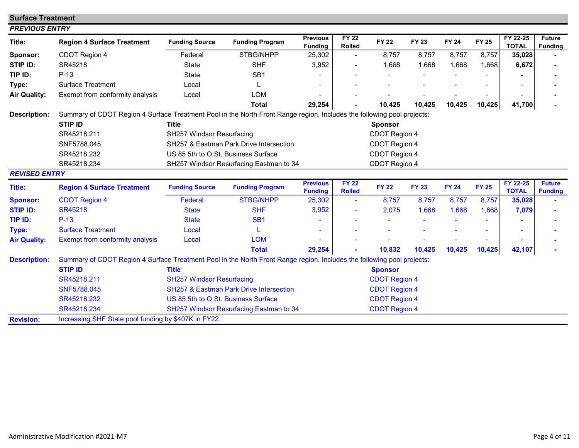| <b>Surface Treatment</b> |                                                                                                                        |                                                                 |                                                    |                                   |                               |                      |              |              |              |                          |                                 |
|--------------------------|------------------------------------------------------------------------------------------------------------------------|-----------------------------------------------------------------|----------------------------------------------------|-----------------------------------|-------------------------------|----------------------|--------------|--------------|--------------|--------------------------|---------------------------------|
| <b>PREVIOUS ENTRY</b>    |                                                                                                                        |                                                                 |                                                    |                                   |                               |                      |              |              |              |                          |                                 |
| Title:                   | <b>Region 4 Surface Treatment</b>                                                                                      | <b>Funding Source</b>                                           | <b>Funding Program</b>                             | <b>Previous</b><br><b>Funding</b> | <b>FY 22</b><br><b>Rolled</b> | <b>FY 22</b>         | FY 23        | <b>FY 24</b> | <b>FY 25</b> | FY 22-25<br><b>TOTAL</b> | <b>Future</b><br><b>Funding</b> |
| Sponsor:                 | CDOT Region 4                                                                                                          | Federal                                                         | STBG/NHPP                                          | 25,302                            | $\blacksquare$                | 8,757                | 8,757        | 8,757        | 8,757        | 35,028                   |                                 |
| STIP ID:                 | SR45218                                                                                                                | <b>State</b>                                                    | <b>SHF</b>                                         | 3,952                             |                               | 1,668                | 1,668        | 1,668        | 1,668        | 6,672                    |                                 |
| TIP ID:                  | $P-13$                                                                                                                 | <b>State</b>                                                    | SB <sub>1</sub>                                    |                                   |                               |                      |              |              |              |                          |                                 |
| Type:                    | <b>Surface Treatment</b>                                                                                               | Local                                                           |                                                    |                                   |                               |                      |              |              |              |                          |                                 |
| <b>Air Quality:</b>      | Exempt from conformity analysis                                                                                        | Local                                                           | <b>LOM</b>                                         |                                   |                               |                      |              |              |              |                          |                                 |
|                          |                                                                                                                        |                                                                 | <b>Total</b>                                       | 29,254                            |                               | 10,425               | 10,425       | 10,425       | 10,425       | 41,700                   |                                 |
| <b>Description:</b>      | Summary of CDOT Region 4 Surface Treatment Pool in the North Front Range region. Includes the following pool projects: |                                                                 |                                                    |                                   |                               |                      |              |              |              |                          |                                 |
|                          | <b>STIP ID</b>                                                                                                         | <b>Title</b>                                                    |                                                    |                                   |                               | <b>Sponsor</b>       |              |              |              |                          |                                 |
|                          | SR45218.211                                                                                                            | <b>SH257 Windsor Resurfacing</b>                                |                                                    |                                   |                               | CDOT Region 4        |              |              |              |                          |                                 |
|                          | SNF5788.045                                                                                                            |                                                                 | SH257 & Eastman Park Drive Intersection            |                                   |                               | CDOT Region 4        |              |              |              |                          |                                 |
|                          | SR45218.232                                                                                                            | US 85 5th to O St. Business Surface                             |                                                    |                                   |                               | CDOT Region 4        |              |              |              |                          |                                 |
|                          | SR45218.234                                                                                                            |                                                                 | SH257 Windsor Resurfacing Eastman to 34            |                                   |                               | CDOT Region 4        |              |              |              |                          |                                 |
| <b>REVISED ENTRY</b>     |                                                                                                                        |                                                                 |                                                    |                                   |                               |                      |              |              |              |                          |                                 |
| <b>Title:</b>            | <b>Region 4 Surface Treatment</b>                                                                                      | <b>Funding Source</b>                                           | <b>Funding Program</b>                             | <b>Previous</b><br><b>Funding</b> | <b>FY 22</b><br><b>Rolled</b> | <b>FY 22</b>         | <b>FY 23</b> | <b>FY 24</b> | <b>FY 25</b> | FY 22-25<br><b>TOTAL</b> | <b>Future</b><br><b>Funding</b> |
| <b>Sponsor:</b>          | <b>CDOT Region 4</b>                                                                                                   | <b>Federal</b>                                                  | <b>STBG/NHPP</b>                                   | 25,302                            | $\blacksquare$                | 8,757                | 8,757        | 8,757        | 8,757        | 35,028                   |                                 |
| <b>STIP ID:</b>          | <b>SR45218</b>                                                                                                         | <b>State</b>                                                    | <b>SHF</b>                                         | 3,952                             |                               | 2,075                | 1,668        | 1,668        | 1,668        | 7,079                    |                                 |
| TIP ID:                  | $P-13$                                                                                                                 | <b>State</b>                                                    | SB <sub>1</sub>                                    |                                   |                               |                      |              |              |              |                          |                                 |
| Type:                    | <b>Surface Treatment</b>                                                                                               | Local                                                           |                                                    |                                   |                               |                      |              |              |              |                          |                                 |
| <b>Air Quality:</b>      | <b>Exempt from conformity analysis</b>                                                                                 | Local                                                           | <b>LOM</b>                                         |                                   |                               |                      |              |              |              |                          |                                 |
|                          |                                                                                                                        |                                                                 | <b>Total</b>                                       | 29,254                            |                               | 10,832               | 10,425       | 10,425       | 10,425       | 42,107                   |                                 |
| <b>Description:</b>      | Summary of CDOT Region 4 Surface Treatment Pool in the North Front Range region. Includes the following pool projects: |                                                                 |                                                    |                                   |                               |                      |              |              |              |                          |                                 |
|                          | <b>STIP ID</b>                                                                                                         | <b>Title</b>                                                    |                                                    |                                   |                               | <b>Sponsor</b>       |              |              |              |                          |                                 |
|                          | SR45218.211                                                                                                            | <b>SH257 Windsor Resurfacing</b>                                |                                                    |                                   |                               | <b>CDOT Region 4</b> |              |              |              |                          |                                 |
|                          | SNF5788.045                                                                                                            |                                                                 | <b>SH257 &amp; Eastman Park Drive Intersection</b> |                                   |                               | <b>CDOT Region 4</b> |              |              |              |                          |                                 |
|                          | SR45218.232                                                                                                            | US 85 5th to O St. Business Surface                             |                                                    |                                   |                               | <b>CDOT Region 4</b> |              |              |              |                          |                                 |
|                          | SR45218.234                                                                                                            | <b>CDOT Region 4</b><br>SH257 Windsor Resurfacing Eastman to 34 |                                                    |                                   |                               |                      |              |              |              |                          |                                 |
| <b>Revision:</b>         | Increasing SHF State pool funding by \$407K in FY22.                                                                   |                                                                 |                                                    |                                   |                               |                      |              |              |              |                          |                                 |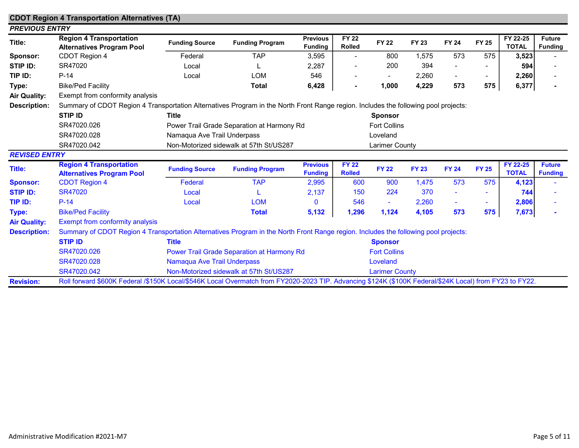|                       | <b>CDOT Region 4 Transportation Alternatives (TA)</b>                                                                                                   |                             |                                            |                                   |                               |                       |              |                |              |                          |                                 |
|-----------------------|---------------------------------------------------------------------------------------------------------------------------------------------------------|-----------------------------|--------------------------------------------|-----------------------------------|-------------------------------|-----------------------|--------------|----------------|--------------|--------------------------|---------------------------------|
| <b>PREVIOUS ENTRY</b> |                                                                                                                                                         |                             |                                            |                                   |                               |                       |              |                |              |                          |                                 |
| Title:                | <b>Region 4 Transportation</b><br><b>Alternatives Program Pool</b>                                                                                      | <b>Funding Source</b>       | <b>Funding Program</b>                     | <b>Previous</b><br><b>Funding</b> | <b>FY 22</b><br><b>Rolled</b> | <b>FY 22</b>          | <b>FY 23</b> | <b>FY 24</b>   | <b>FY 25</b> | FY 22-25<br><b>TOTAL</b> | <b>Future</b><br><b>Funding</b> |
| Sponsor:              | CDOT Region 4                                                                                                                                           | Federal                     | <b>TAP</b>                                 | 3,595                             | $\overline{\phantom{a}}$      | 800                   | 1,575        | 573            | 575          | 3,523                    |                                 |
| <b>STIP ID:</b>       | SR47020                                                                                                                                                 | Local                       |                                            | 2,287                             |                               | 200                   | 394          |                |              | 594                      |                                 |
| TIP ID:               | $P-14$                                                                                                                                                  | Local                       | <b>LOM</b>                                 | 546                               |                               |                       | 2,260        | $\blacksquare$ | ٠.           | 2,260                    |                                 |
| Type:                 | <b>Bike/Ped Facility</b>                                                                                                                                |                             | <b>Total</b>                               | 6,428                             |                               | 1,000                 | 4,229        | 573            | 575          | 6,377                    |                                 |
| <b>Air Quality:</b>   | Exempt from conformity analysis                                                                                                                         |                             |                                            |                                   |                               |                       |              |                |              |                          |                                 |
| <b>Description:</b>   | Summary of CDOT Region 4 Transportation Alternatives Program in the North Front Range region. Includes the following pool projects:                     |                             |                                            |                                   |                               |                       |              |                |              |                          |                                 |
|                       | <b>STIP ID</b>                                                                                                                                          | <b>Title</b>                |                                            |                                   |                               | <b>Sponsor</b>        |              |                |              |                          |                                 |
|                       | SR47020.026                                                                                                                                             |                             | Power Trail Grade Separation at Harmony Rd |                                   |                               | <b>Fort Collins</b>   |              |                |              |                          |                                 |
|                       | SR47020.028                                                                                                                                             | Namaqua Ave Trail Underpass |                                            |                                   |                               | Loveland              |              |                |              |                          |                                 |
|                       | SR47020.042                                                                                                                                             |                             | Non-Motorized sidewalk at 57th St/US287    |                                   |                               | Larimer County        |              |                |              |                          |                                 |
| <b>REVISED ENTRY</b>  |                                                                                                                                                         |                             |                                            |                                   |                               |                       |              |                |              |                          |                                 |
| <b>Title:</b>         | <b>Region 4 Transportation</b><br><b>Alternatives Program Pool</b>                                                                                      | <b>Funding Source</b>       | <b>Funding Program</b>                     | <b>Previous</b><br><b>Funding</b> | <b>FY 22</b><br><b>Rolled</b> | <b>FY 22</b>          | <b>FY 23</b> | <b>FY 24</b>   | <b>FY 25</b> | FY 22-25<br><b>TOTAL</b> | <b>Future</b><br><b>Funding</b> |
| <b>Sponsor:</b>       | <b>CDOT Region 4</b>                                                                                                                                    | Federal                     | <b>TAP</b>                                 | 2,995                             | 600                           | 900                   | 1,475        | 573            | 575          | 4,123                    |                                 |
| <b>STIP ID:</b>       | <b>SR47020</b>                                                                                                                                          | Local                       |                                            | 2,137                             | 150                           | 224                   | 370          |                |              | 744                      |                                 |
| TIP ID:               | $P-14$                                                                                                                                                  | Local                       | <b>LOM</b>                                 | $\Omega$                          | 546                           | ٠                     | 2,260        | ۰              |              | 2,806                    |                                 |
| Type:                 | <b>Bike/Ped Facility</b>                                                                                                                                |                             | <b>Total</b>                               | 5,132                             | 1,296                         | 1,124                 | 4,105        | 573            | 575          | 7,673                    |                                 |
| <b>Air Quality:</b>   | Exempt from conformity analysis                                                                                                                         |                             |                                            |                                   |                               |                       |              |                |              |                          |                                 |
| <b>Description:</b>   | Summary of CDOT Region 4 Transportation Alternatives Program in the North Front Range region. Includes the following pool projects:                     |                             |                                            |                                   |                               |                       |              |                |              |                          |                                 |
|                       | <b>STIP ID</b>                                                                                                                                          | <b>Title</b>                |                                            |                                   |                               | <b>Sponsor</b>        |              |                |              |                          |                                 |
|                       | SR47020.026                                                                                                                                             |                             | Power Trail Grade Separation at Harmony Rd |                                   |                               | <b>Fort Collins</b>   |              |                |              |                          |                                 |
|                       | SR47020.028                                                                                                                                             | Namaqua Ave Trail Underpass |                                            |                                   |                               | Loveland              |              |                |              |                          |                                 |
|                       | SR47020.042                                                                                                                                             |                             | Non-Motorized sidewalk at 57th St/US287    |                                   |                               | <b>Larimer County</b> |              |                |              |                          |                                 |
| <b>Revision:</b>      | Roll forward \$600K Federal /\$150K Local/\$546K Local Overmatch from FY2020-2023 TIP. Advancing \$124K (\$100K Federal/\$24K Local) from FY23 to FY22. |                             |                                            |                                   |                               |                       |              |                |              |                          |                                 |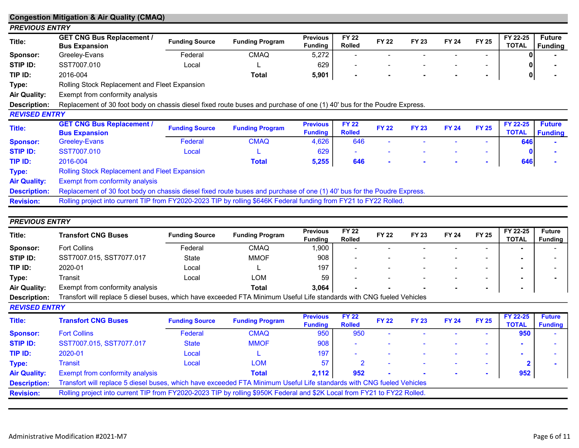|                                         | <b>Congestion Mitigation &amp; Air Quality (CMAQ)</b>                                                                   |                       |                        |                                   |                               |              |                       |              |                          |                          |                                 |
|-----------------------------------------|-------------------------------------------------------------------------------------------------------------------------|-----------------------|------------------------|-----------------------------------|-------------------------------|--------------|-----------------------|--------------|--------------------------|--------------------------|---------------------------------|
| <b>PREVIOUS ENTRY</b>                   |                                                                                                                         |                       |                        |                                   |                               |              |                       |              |                          |                          |                                 |
| Title:                                  | <b>GET CNG Bus Replacement /</b><br><b>Bus Expansion</b>                                                                | <b>Funding Source</b> | <b>Funding Program</b> | <b>Previous</b><br><b>Funding</b> | <b>FY 22</b><br><b>Rolled</b> | <b>FY 22</b> | <b>FY 23</b>          | <b>FY 24</b> | <b>FY 25</b>             | FY 22-25<br><b>TOTAL</b> | <b>Future</b><br><b>Funding</b> |
| <b>Sponsor:</b>                         | Greeley-Evans                                                                                                           | Federal               | <b>CMAQ</b>            | 5,272                             |                               |              |                       |              |                          |                          |                                 |
| STIP ID:                                | SST7007.010                                                                                                             | Local                 |                        | 629                               | -                             |              |                       |              | $\overline{\phantom{a}}$ |                          |                                 |
| TIP ID:                                 | 2016-004                                                                                                                |                       | <b>Total</b>           | 5,901                             | $\blacksquare$                |              |                       |              | $\blacksquare$           | $\pmb{0}$                |                                 |
| Type:                                   | Rolling Stock Replacement and Fleet Expansion                                                                           |                       |                        |                                   |                               |              |                       |              |                          |                          |                                 |
| Air Quality:                            | Exempt from conformity analysis                                                                                         |                       |                        |                                   |                               |              |                       |              |                          |                          |                                 |
| <b>Description:</b>                     | Replacement of 30 foot body on chassis diesel fixed route buses and purchase of one (1) 40' bus for the Poudre Express. |                       |                        |                                   |                               |              |                       |              |                          |                          |                                 |
| <b>REVISED ENTRY</b>                    |                                                                                                                         |                       |                        |                                   |                               |              |                       |              |                          |                          |                                 |
| Title:                                  | <b>GET CNG Bus Replacement /</b><br><b>Bus Expansion</b>                                                                | <b>Funding Source</b> | <b>Funding Program</b> | <b>Previous</b><br><b>Funding</b> | <b>FY 22</b><br><b>Rolled</b> | <b>FY 22</b> | <b>FY 23</b>          | <b>FY 24</b> | <b>FY 25</b>             | FY 22-25<br><b>TOTAL</b> | <b>Future</b><br><b>Funding</b> |
| <b>Sponsor:</b>                         | <b>Greeley-Evans</b>                                                                                                    | Federal               | <b>CMAQ</b>            | 4,626                             | 646                           |              |                       |              |                          | 646                      |                                 |
| <b>STIP ID:</b>                         | SST7007.010                                                                                                             | Local                 |                        | 629                               | ٠                             |              | $\tilde{\phantom{a}}$ |              | $\sim$                   |                          |                                 |
| TIP ID:                                 | 2016-004                                                                                                                |                       | <b>Total</b>           | 5,255                             | 646                           | $\sim$       |                       |              |                          | 646                      |                                 |
|                                         |                                                                                                                         |                       |                        |                                   |                               |              |                       |              |                          |                          |                                 |
| Type:                                   | <b>Rolling Stock Replacement and Fleet Expansion</b>                                                                    |                       |                        |                                   |                               |              |                       |              |                          |                          |                                 |
| <b>Air Quality:</b>                     | Exempt from conformity analysis                                                                                         |                       |                        |                                   |                               |              |                       |              |                          |                          |                                 |
|                                         | Replacement of 30 foot body on chassis diesel fixed route buses and purchase of one (1) 40' bus for the Poudre Express. |                       |                        |                                   |                               |              |                       |              |                          |                          |                                 |
| <b>Description:</b><br><b>Revision:</b> | Rolling project into current TIP from FY2020-2023 TIP by rolling \$646K Federal funding from FY21 to FY22 Rolled.       |                       |                        |                                   |                               |              |                       |              |                          |                          |                                 |

| <b>PREVIOUS ENTRY</b> |                                                                                                                       |                       |                        |                                   |                               |              |              |              |              |                          |                                 |
|-----------------------|-----------------------------------------------------------------------------------------------------------------------|-----------------------|------------------------|-----------------------------------|-------------------------------|--------------|--------------|--------------|--------------|--------------------------|---------------------------------|
| Title:                | Transfort CNG Buses                                                                                                   | <b>Funding Source</b> | <b>Funding Program</b> | <b>Previous</b><br><b>Funding</b> | <b>FY 22</b><br><b>Rolled</b> | <b>FY 22</b> | <b>FY 23</b> | <b>FY 24</b> | <b>FY 25</b> | FY 22-25<br><b>TOTAL</b> | <b>Future</b><br><b>Funding</b> |
| Sponsor:              | <b>Fort Collins</b>                                                                                                   | Federal               | <b>CMAQ</b>            | ,900                              |                               |              |              |              | -            |                          |                                 |
| STIP ID:              | SST7007.015, SST7077.017                                                                                              | State                 | <b>MMOF</b>            | 908                               | $\overline{\phantom{0}}$      |              |              |              | -            |                          |                                 |
| TIP ID:               | 2020-01                                                                                                               | Local                 |                        | 197                               |                               |              |              |              |              |                          |                                 |
| Type:                 | Transit                                                                                                               | Local                 | LOM                    | 59                                | $\overline{\phantom{a}}$      |              |              |              |              |                          |                                 |
| <b>Air Quality:</b>   | Exempt from conformity analysis                                                                                       |                       | Total                  | 3,064                             | . .                           |              |              |              |              |                          |                                 |
| <b>Description:</b>   | Transfort will replace 5 diesel buses, which have exceeded FTA Minimum Useful Life standards with CNG fueled Vehicles |                       |                        |                                   |                               |              |              |              |              |                          |                                 |

Description: REVISED ENTRY

| Title:              | <b>Transfort CNG Buses</b>                                                                                               | <b>Funding Source</b> | <b>Funding Program</b> | <b>Previous</b><br><b>Funding</b> | <b>FY 22</b><br><b>Rolled</b> | <b>FY 22</b> | <b>FY 23</b> | <b>FY 24</b> | <b>FY 25</b> | FY 22-25<br><b>TOTAL</b> | <b>Future</b><br><b>Funding</b> |
|---------------------|--------------------------------------------------------------------------------------------------------------------------|-----------------------|------------------------|-----------------------------------|-------------------------------|--------------|--------------|--------------|--------------|--------------------------|---------------------------------|
| <b>Sponsor:</b>     | <b>Fort Collins</b>                                                                                                      | Federal               | <b>CMAQ</b>            | 950                               | 950                           |              |              |              |              | 950                      |                                 |
| <b>STIP ID:</b>     | SST7007.015, SST7077.017                                                                                                 | <b>State</b>          | <b>MMOF</b>            | 908                               | $\sim$                        |              |              |              |              |                          |                                 |
| TIP ID:             | 2020-01                                                                                                                  | Local                 |                        | 197                               | $\overline{\phantom{a}}$      |              |              |              |              |                          |                                 |
| Type:               | <b>Transit</b>                                                                                                           | Local                 | <b>LOM</b>             | 57                                |                               |              |              |              |              |                          |                                 |
| <b>Air Quality:</b> | <b>Exempt from conformity analysis</b>                                                                                   |                       | Total                  | 2,112                             | 952                           |              |              |              |              | 952                      |                                 |
| <b>Description:</b> | Transfort will replace 5 diesel buses, which have exceeded FTA Minimum Useful Life standards with CNG fueled Vehicles    |                       |                        |                                   |                               |              |              |              |              |                          |                                 |
| <b>Revision:</b>    | Rolling project into current TIP from FY2020-2023 TIP by rolling \$950K Federal and \$2K Local from FY21 to FY22 Rolled. |                       |                        |                                   |                               |              |              |              |              |                          |                                 |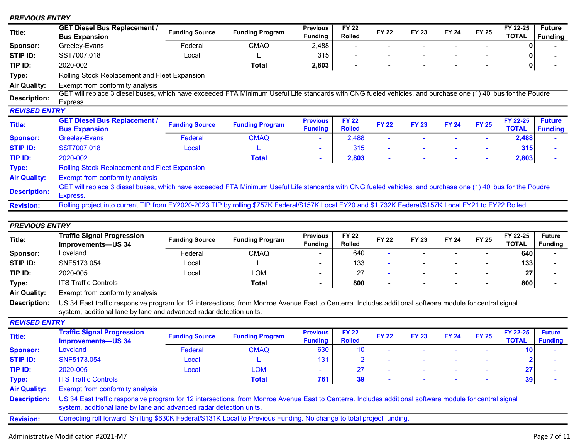#### PREVIOUS ENTRY

| Title:              | <b>GET Diesel Bus Replacement /</b><br><b>Bus Expansion</b>                                                                                                              | <b>Funding Source</b> | <b>Funding Program</b> | <b>Previous</b><br><b>Funding</b> | <b>FY 22</b><br><b>Rolled</b> | <b>FY 22</b>             | <b>FY 23</b> | <b>FY 24</b> | <b>FY 25</b> | FY 22-25<br><b>TOTAL</b> | <b>Future</b><br><b>Funding</b> |
|---------------------|--------------------------------------------------------------------------------------------------------------------------------------------------------------------------|-----------------------|------------------------|-----------------------------------|-------------------------------|--------------------------|--------------|--------------|--------------|--------------------------|---------------------------------|
| Sponsor:            | Greeley-Evans                                                                                                                                                            | Federal               | <b>CMAQ</b>            | 2,488                             |                               |                          |              |              |              |                          |                                 |
| STIP ID:            | SST7007.018                                                                                                                                                              | Local                 |                        | 315                               | $\overline{\phantom{a}}$      |                          |              |              | $\sim$       |                          |                                 |
| TIP ID:             | 2020-002                                                                                                                                                                 |                       | Total                  | 2,803                             | ٠                             |                          |              |              | ٠            | 0                        |                                 |
| Type:               | Rolling Stock Replacement and Fleet Expansion                                                                                                                            |                       |                        |                                   |                               |                          |              |              |              |                          |                                 |
| Air Quality:        | Exempt from conformity analysis                                                                                                                                          |                       |                        |                                   |                               |                          |              |              |              |                          |                                 |
| <b>Description:</b> | GET will replace 3 diesel buses, which have exceeded FTA Minimum Useful Life standards with CNG fueled vehicles, and purchase one (1) 40' bus for the Poudre<br>Express. |                       |                        |                                   |                               |                          |              |              |              |                          |                                 |
| REVISED ENTRY       |                                                                                                                                                                          |                       |                        |                                   |                               |                          |              |              |              |                          |                                 |
|                     | <b>GET Diesel Bus Replacement /</b>                                                                                                                                      |                       |                        | <b>Previous</b>                   | <b>FY 22</b>                  |                          |              |              |              | FY 22-25                 | <b>Future</b>                   |
| Title:              | <b>Bus Expansion</b>                                                                                                                                                     | <b>Funding Source</b> | <b>Funding Program</b> | <b>Funding</b>                    | <b>Rolled</b>                 | <b>FY 22</b>             | <b>FY 23</b> | <b>FY 24</b> | <b>FY 25</b> | <b>TOTAL</b>             | <b>Funding</b>                  |
| <b>Sponsor:</b>     | Greeley-Evans                                                                                                                                                            | Federal               | <b>CMAQ</b>            | ۰                                 | 2,488                         |                          |              |              |              | 2,488                    |                                 |
| STIP ID:            | SST7007.018                                                                                                                                                              | Local                 |                        | $\sim$                            | 315                           | $\overline{\phantom{a}}$ |              |              | $\sim$       | 315                      |                                 |
| TIP ID:             | 2020-002                                                                                                                                                                 |                       | <b>Total</b>           | $\blacksquare$                    | 2,803                         | $\sim$                   |              |              | $\sim$       | 2,803                    |                                 |
| Type:               | <b>Rolling Stock Replacement and Fleet Expansion</b>                                                                                                                     |                       |                        |                                   |                               |                          |              |              |              |                          |                                 |
| <b>Air Quality:</b> | Exempt from conformity analysis                                                                                                                                          |                       |                        |                                   |                               |                          |              |              |              |                          |                                 |
| <b>Description:</b> | GET will replace 3 diesel buses, which have exceeded FTA Minimum Useful Life standards with CNG fueled vehicles, and purchase one (1) 40' bus for the Poudre<br>Express. |                       |                        |                                   |                               |                          |              |              |              |                          |                                 |

## PREVIOUS ENTRY

| Title:   | <b>Traffic Signal Progression</b><br>Improvements-US 34 | <b>Funding Source</b> | <b>Funding Program</b> | <b>Previous</b><br>Fundina | FY 22<br><b>Rolled</b> | FY 22 | FY 23 | <b>FY 24</b> | FY 25 | FY 22-25<br><b>TOTAL</b> | <b>Future</b><br><b>Funding</b> |
|----------|---------------------------------------------------------|-----------------------|------------------------|----------------------------|------------------------|-------|-------|--------------|-------|--------------------------|---------------------------------|
| Sponsor: | Loveland                                                | Federal               | <b>CMAQ</b>            | -                          | 640                    |       |       |              |       | 640                      |                                 |
| STIP ID: | SNF5173.054                                             | Local                 |                        | -                          | 133                    |       |       |              |       | 133                      |                                 |
| TIP ID:  | 2020-005                                                | Local                 | LOM                    | $\overline{\phantom{a}}$   |                        |       |       |              |       | 27                       |                                 |
| Type:    | <b>ITS Traffic Controls</b>                             |                       | <b>Total</b>           | $\overline{\phantom{0}}$   | 800                    |       |       |              |       | 800                      |                                 |

Air Quality: Exempt from conformity analysis

Description: US 34 East traffic responsive program for 12 intersections, from Monroe Avenue East to Centerra. Includes additional software module for central signal system, additional lane by lane and advanced radar detection units.

REVISED ENTRY

| Title:              | <b>Traffic Signal Progression</b><br><b>Improvements-US 34</b> | <b>Funding Source</b>                                                    | <b>Funding Program</b> | <b>Previous</b><br><b>Funding</b> | <b>FY 22</b><br><b>Rolled</b> | <b>FY 22</b> | <b>FY 23</b>                                                                                                                                                                                                                   | <b>FY 24</b> | <b>FY 25</b> | FY 22-25<br><b>TOTAL</b> | <b>Future</b><br><b>Funding</b> |  |
|---------------------|----------------------------------------------------------------|--------------------------------------------------------------------------|------------------------|-----------------------------------|-------------------------------|--------------|--------------------------------------------------------------------------------------------------------------------------------------------------------------------------------------------------------------------------------|--------------|--------------|--------------------------|---------------------------------|--|
|                     |                                                                |                                                                          |                        |                                   |                               |              |                                                                                                                                                                                                                                |              |              |                          |                                 |  |
| <b>Sponsor:</b>     | Loveland                                                       | Federal                                                                  | <b>CMAQ</b>            | 630                               |                               |              | $\overline{\phantom{a}}$                                                                                                                                                                                                       |              |              |                          |                                 |  |
| <b>STIP ID:</b>     | SNF5173.054                                                    | Local                                                                    |                        | 131                               |                               |              |                                                                                                                                                                                                                                |              |              |                          |                                 |  |
| TIP ID:             | 2020-005                                                       | Local                                                                    | <b>LOM</b>             | $\overline{\phantom{a}}$          |                               | $\sim$       | $\overline{\phantom{a}}$                                                                                                                                                                                                       | $\sim$       |              | 27                       |                                 |  |
| Type:               | <b>ITS Traffic Controls</b>                                    |                                                                          | <b>Total</b>           | 761                               | 39                            |              |                                                                                                                                                                                                                                |              |              | 39                       |                                 |  |
| <b>Air Quality:</b> | Exempt from conformity analysis                                |                                                                          |                        |                                   |                               |              |                                                                                                                                                                                                                                |              |              |                          |                                 |  |
|                     |                                                                | $\sim$ $\sim$ $\sim$ $\sim$<br><b>Service Contract Contract Contract</b> | .                      |                                   | _  _ . _                      |              | and the contract of the contract of the contract of the contract of the contract of the contract of the contract of the contract of the contract of the contract of the contract of the contract of the contract of the contra |              | .            |                          |                                 |  |

Description: US 34 East traffic responsive program for 12 intersections, from Monroe Avenue East to Centerra. Includes additional software module for central signal system, additional lane by lane and advanced radar detection units.

Revision: Correcting roll forward: Shifting \$630K Federal/\$131K Local to Previous Funding. No change to total project funding.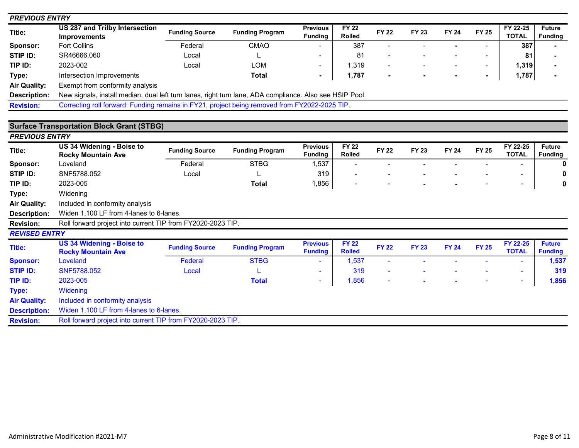| <b>PREVIOUS ENTRY</b> |                                                                                                         |                       |                        |                                   |                               |              |              |              |                |                          |                                 |
|-----------------------|---------------------------------------------------------------------------------------------------------|-----------------------|------------------------|-----------------------------------|-------------------------------|--------------|--------------|--------------|----------------|--------------------------|---------------------------------|
| Title:                | <b>US 287 and Trilby Intersection</b><br><b>Improvements</b>                                            | <b>Funding Source</b> | <b>Funding Program</b> | <b>Previous</b><br><b>Funding</b> | <b>FY 22</b><br><b>Rolled</b> | <b>FY 22</b> | <b>FY 23</b> | <b>FY 24</b> | <b>FY 25</b>   | FY 22-25<br><b>TOTAL</b> | <b>Future</b><br><b>Funding</b> |
| Sponsor:              | <b>Fort Collins</b>                                                                                     | Federal               | <b>CMAQ</b>            |                                   | 387                           |              |              |              |                | 387                      |                                 |
| <b>STIP ID:</b>       | SR46666.060                                                                                             | Local                 |                        |                                   | 81                            |              |              |              |                | 81                       |                                 |
| TIP ID:               | 2023-002                                                                                                | Local                 | <b>LOM</b>             | $\overline{\phantom{a}}$          | 1,319                         |              |              |              | $\sim$         | 1,319                    |                                 |
| Type:                 | Intersection Improvements                                                                               |                       | <b>Total</b>           | $\blacksquare$                    | 1,787                         |              |              |              | $\blacksquare$ | 1,787                    |                                 |
| <b>Air Quality:</b>   | Exempt from conformity analysis                                                                         |                       |                        |                                   |                               |              |              |              |                |                          |                                 |
| <b>Description:</b>   | New signals, install median, dual left turn lanes, right turn lane, ADA compliance. Also see HSIP Pool. |                       |                        |                                   |                               |              |              |              |                |                          |                                 |
| <b>Revision:</b>      | Correcting roll forward: Funding remains in FY21, project being removed from FY2022-2025 TIP.           |                       |                        |                                   |                               |              |              |              |                |                          |                                 |
|                       |                                                                                                         |                       |                        |                                   |                               |              |              |              |                |                          |                                 |
|                       | <b>Surface Transportation Block Grant (STBG)</b>                                                        |                       |                        |                                   |                               |              |              |              |                |                          |                                 |
| <b>PREVIOUS ENTRY</b> |                                                                                                         |                       |                        |                                   |                               |              |              |              |                |                          |                                 |
| Title:                | US 34 Widening - Boise to<br><b>Rocky Mountain Ave</b>                                                  | <b>Funding Source</b> | <b>Funding Program</b> | <b>Previous</b><br><b>Funding</b> | <b>FY 22</b><br><b>Rolled</b> | <b>FY 22</b> | <b>FY 23</b> | <b>FY 24</b> | <b>FY 25</b>   | FY 22-25<br><b>TOTAL</b> | <b>Future</b><br><b>Funding</b> |
| Sponsor:              | Loveland                                                                                                | Federal               | <b>STBG</b>            | 1,537                             |                               |              |              |              |                |                          | 0                               |
| STIP ID:              | SNF5788.052                                                                                             | Local                 |                        | 319                               |                               |              |              |              |                |                          |                                 |
| TIP ID:               | 2023-005                                                                                                |                       | <b>Total</b>           | 1,856                             |                               |              |              |              |                | $\blacksquare$           | 0                               |
| Type:                 | Widening                                                                                                |                       |                        |                                   |                               |              |              |              |                |                          |                                 |
| <b>Air Quality:</b>   | Included in conformity analysis                                                                         |                       |                        |                                   |                               |              |              |              |                |                          |                                 |
| Description:          | Widen 1,100 LF from 4-lanes to 6-lanes.                                                                 |                       |                        |                                   |                               |              |              |              |                |                          |                                 |
| <b>Revision:</b>      | Roll forward project into current TIP from FY2020-2023 TIP.                                             |                       |                        |                                   |                               |              |              |              |                |                          |                                 |
| <b>REVISED ENTRY</b>  |                                                                                                         |                       |                        |                                   |                               |              |              |              |                |                          |                                 |
| Title:                | <b>US 34 Widening - Boise to</b><br><b>Rocky Mountain Ave</b>                                           | <b>Funding Source</b> | <b>Funding Program</b> | <b>Previous</b><br><b>Funding</b> | <b>FY 22</b><br><b>Rolled</b> | <b>FY 22</b> | <b>FY 23</b> | <b>FY 24</b> | <b>FY 25</b>   | FY 22-25<br><b>TOTAL</b> | <b>Future</b><br><b>Funding</b> |
| <b>Sponsor:</b>       | Loveland                                                                                                | Federal               | <b>STBG</b>            |                                   | 1,537                         |              |              |              |                | ٠                        | 1,537                           |
| <b>STIP ID:</b>       | SNF5788.052                                                                                             | Local                 |                        |                                   | 319                           |              |              |              |                | $\blacksquare$           | 319                             |
| TIP ID:               | 2023-005                                                                                                |                       | <b>Total</b>           | $\sim$                            | 1,856                         |              |              |              |                | $\blacksquare$           | 1,856                           |
| <b>Type:</b>          | Widening                                                                                                |                       |                        |                                   |                               |              |              |              |                |                          |                                 |
| <b>Air Quality:</b>   | Included in conformity analysis                                                                         |                       |                        |                                   |                               |              |              |              |                |                          |                                 |
| <b>Description:</b>   | Widen 1,100 LF from 4-lanes to 6-lanes.                                                                 |                       |                        |                                   |                               |              |              |              |                |                          |                                 |

Revision: Roll forward project into current TIP from FY2020-2023 TIP.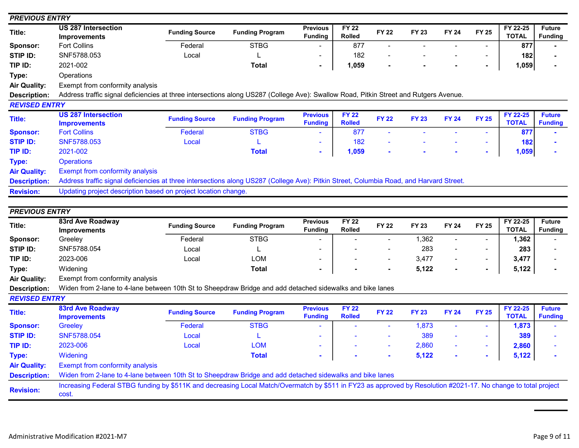| <b>PREVIOUS ENTRY</b> |                                                                                                                                         |                       |                        |                                   |                               |                |              |                |                          |                          |                                 |
|-----------------------|-----------------------------------------------------------------------------------------------------------------------------------------|-----------------------|------------------------|-----------------------------------|-------------------------------|----------------|--------------|----------------|--------------------------|--------------------------|---------------------------------|
| Title:                | <b>US 287 Intersection</b><br><b>Improvements</b>                                                                                       | <b>Funding Source</b> | <b>Funding Program</b> | <b>Previous</b><br><b>Funding</b> | <b>FY 22</b><br>Rolled        | <b>FY 22</b>   | <b>FY 23</b> | <b>FY 24</b>   | <b>FY 25</b>             | FY 22-25<br><b>TOTAL</b> | <b>Future</b><br><b>Funding</b> |
| Sponsor:              | <b>Fort Collins</b>                                                                                                                     | Federal               | <b>STBG</b>            |                                   | 877                           | $\blacksquare$ |              |                | $\blacksquare$           | 877                      |                                 |
| STIP ID:              | SNF5788.053                                                                                                                             | Local                 |                        |                                   | 182                           |                |              |                | $\overline{\phantom{a}}$ | 182                      |                                 |
| TIP ID:               | 2021-002                                                                                                                                |                       | <b>Total</b>           | $\blacksquare$                    | 1,059                         |                |              |                | $\blacksquare$           | 1,059                    |                                 |
| Type:                 | Operations                                                                                                                              |                       |                        |                                   |                               |                |              |                |                          |                          |                                 |
| <b>Air Quality:</b>   | Exempt from conformity analysis                                                                                                         |                       |                        |                                   |                               |                |              |                |                          |                          |                                 |
| <b>Description:</b>   | Address traffic signal deficiencies at three intersections along US287 (College Ave): Swallow Road, Pitkin Street and Rutgers Avenue.   |                       |                        |                                   |                               |                |              |                |                          |                          |                                 |
| <b>REVISED ENTRY</b>  |                                                                                                                                         |                       |                        |                                   |                               |                |              |                |                          |                          |                                 |
| Title:                | <b>US 287 Intersection</b><br><b>Improvements</b>                                                                                       | <b>Funding Source</b> | <b>Funding Program</b> | <b>Previous</b><br><b>Funding</b> | <b>FY 22</b><br><b>Rolled</b> | <b>FY 22</b>   | <b>FY 23</b> | <b>FY 24</b>   | <b>FY 25</b>             | FY 22-25<br><b>TOTAL</b> | <b>Future</b><br><b>Funding</b> |
| <b>Sponsor:</b>       | <b>Fort Collins</b>                                                                                                                     | Federal               | <b>STBG</b>            |                                   | 877                           |                |              |                | ÷                        | 877                      |                                 |
| <b>STIP ID:</b>       | SNF5788.053                                                                                                                             | Local                 |                        | $\blacksquare$                    | 182                           |                |              |                | $\blacksquare$           | 182                      |                                 |
| TIP ID:               | 2021-002                                                                                                                                |                       | <b>Total</b>           |                                   | 1,059                         |                |              |                | ÷.                       | 1,059                    |                                 |
| Type:                 | <b>Operations</b>                                                                                                                       |                       |                        |                                   |                               |                |              |                |                          |                          |                                 |
| <b>Air Quality:</b>   | <b>Exempt from conformity analysis</b>                                                                                                  |                       |                        |                                   |                               |                |              |                |                          |                          |                                 |
| <b>Description:</b>   | Address traffic signal deficiencies at three intersections along US287 (College Ave): Pitkin Street, Columbia Road, and Harvard Street. |                       |                        |                                   |                               |                |              |                |                          |                          |                                 |
| <b>Revision:</b>      | Updating project description based on project location change.                                                                          |                       |                        |                                   |                               |                |              |                |                          |                          |                                 |
|                       |                                                                                                                                         |                       |                        |                                   |                               |                |              |                |                          |                          |                                 |
| <b>PREVIOUS ENTRY</b> |                                                                                                                                         |                       |                        |                                   |                               |                |              |                |                          |                          |                                 |
| Title:                | 83rd Ave Roadway<br><b>Improvements</b>                                                                                                 | <b>Funding Source</b> | <b>Funding Program</b> | <b>Previous</b><br><b>Funding</b> | $FY$ 22<br><b>Rolled</b>      | <b>FY 22</b>   | <b>FY 23</b> | <b>FY 24</b>   | <b>FY 25</b>             | FY 22-25<br><b>TOTAL</b> | <b>Future</b><br><b>Funding</b> |
| Sponsor:              | Greeley                                                                                                                                 | Federal               | <b>STBG</b>            |                                   |                               | $\blacksquare$ | 1,362        | $\blacksquare$ | $\blacksquare$           | 1,362                    |                                 |
| STIP ID:              | SNF5788.054                                                                                                                             | Local                 |                        |                                   |                               |                | 283          |                | $\blacksquare$           | 283                      |                                 |
| TIP ID:               | 2023-006                                                                                                                                | Local                 | <b>LOM</b>             |                                   |                               |                | 3,477        |                | $\blacksquare$           | 3,477                    |                                 |
| Type:                 | Widening                                                                                                                                |                       | <b>Total</b>           |                                   |                               |                | 5,122        |                | ٠                        | 5,122                    |                                 |
| <b>Air Quality:</b>   | Exempt from conformity analysis                                                                                                         |                       |                        |                                   |                               |                |              |                |                          |                          |                                 |
| <b>Description:</b>   | Widen from 2-lane to 4-lane between 10th St to Sheepdraw Bridge and add detached sidewalks and bike lanes                               |                       |                        |                                   |                               |                |              |                |                          |                          |                                 |
| <b>REVISED ENTRY</b>  |                                                                                                                                         |                       |                        |                                   |                               |                |              |                |                          |                          |                                 |
| <b>Title:</b>         | <b>83rd Ave Roadway</b><br><b>Improvements</b>                                                                                          | <b>Funding Source</b> | <b>Funding Program</b> | <b>Previous</b><br><b>Funding</b> | <b>FY 22</b><br><b>Rolled</b> | <b>FY 22</b>   | <b>FY 23</b> | <b>FY 24</b>   | <b>FY 25</b>             | FY 22-25<br><b>TOTAL</b> | <b>Future</b><br><b>Funding</b> |
| <b>Sponsor:</b>       | Greeley                                                                                                                                 | Federal               | <b>STBG</b>            |                                   |                               | $\blacksquare$ | 1,873        |                | $\overline{\phantom{a}}$ | 1,873                    |                                 |
| <b>STIP ID:</b>       | SNF5788.054                                                                                                                             | Local                 |                        |                                   |                               |                | 389          |                | $\blacksquare$           | 389                      |                                 |
| TIP ID:               | 2023-006                                                                                                                                | Local                 | <b>LOM</b>             |                                   |                               |                | 2,860        |                |                          | 2,860                    |                                 |

Air Quality: Exempt from conformity analysis

Description: Widen from 2-lane to 4-lane between 10th St to Sheepdraw Bridge and add detached sidewalks and bike lanes

Revision: Increasing Federal STBG funding by \$511K and decreasing Local Match/Overmatch by \$511 in FY23 as approved by Resolution #2021-17. No change to total project cost.

Type: Widening **Total Total - - 5,122 - - 5,122** - 5,122 -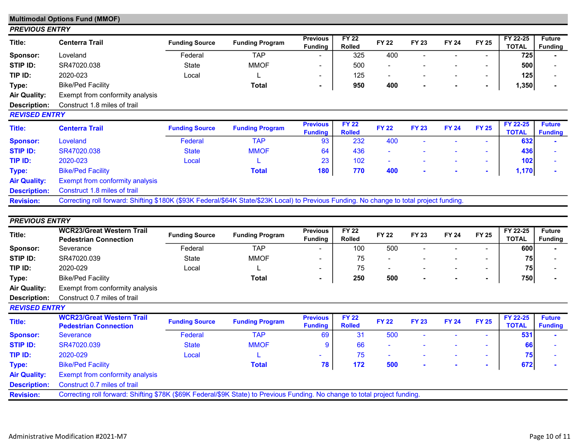|                       | <b>Multimodal Options Fund (MMOF)</b>                                                                                                     |                       |                        |                                   |                               |                          |              |              |                          |                                 |                                 |
|-----------------------|-------------------------------------------------------------------------------------------------------------------------------------------|-----------------------|------------------------|-----------------------------------|-------------------------------|--------------------------|--------------|--------------|--------------------------|---------------------------------|---------------------------------|
| <b>PREVIOUS ENTRY</b> |                                                                                                                                           |                       |                        |                                   |                               |                          |              |              |                          |                                 |                                 |
| Title:                | <b>Centerra Trail</b>                                                                                                                     | <b>Funding Source</b> | <b>Funding Program</b> | <b>Previous</b><br><b>Funding</b> | <b>FY 22</b><br><b>Rolled</b> | <b>FY 22</b>             | <b>FY 23</b> | <b>FY 24</b> | <b>FY 25</b>             | FY 22-25<br><b>TOTAL</b>        | <b>Future</b><br><b>Funding</b> |
| Sponsor:              | Loveland                                                                                                                                  | Federal               | <b>TAP</b>             |                                   | 325                           | 400                      |              |              |                          | 725                             |                                 |
| STIP ID:              | SR47020.038                                                                                                                               | <b>State</b>          | <b>MMOF</b>            | $\overline{\phantom{0}}$          | 500                           |                          |              |              |                          | 500                             |                                 |
| TIP ID:               | 2020-023                                                                                                                                  | Local                 |                        | $\qquad \qquad \blacksquare$      | 125                           | $\overline{\phantom{a}}$ |              |              | $\overline{\phantom{a}}$ | 125                             |                                 |
| Type:                 | <b>Bike/Ped Facility</b>                                                                                                                  |                       | <b>Total</b>           | $\blacksquare$                    | 950                           | 400                      |              |              | $\blacksquare$           | 1,350                           |                                 |
| <b>Air Quality:</b>   | Exempt from conformity analysis                                                                                                           |                       |                        |                                   |                               |                          |              |              |                          |                                 |                                 |
| <b>Description:</b>   | Construct 1.8 miles of trail                                                                                                              |                       |                        |                                   |                               |                          |              |              |                          |                                 |                                 |
| <b>REVISED ENTRY</b>  |                                                                                                                                           |                       |                        |                                   |                               |                          |              |              |                          |                                 |                                 |
| <b>Title:</b>         | <b>Centerra Trail</b>                                                                                                                     | <b>Funding Source</b> | <b>Funding Program</b> | <b>Previous</b><br><b>Funding</b> | <b>FY 22</b><br><b>Rolled</b> | <b>FY 22</b>             | <b>FY 23</b> | <b>FY 24</b> | <b>FY 25</b>             | <b>FY 22-25</b><br><b>TOTAL</b> | <b>Future</b><br><b>Funding</b> |
| <b>Sponsor:</b>       | Loveland                                                                                                                                  | Federal               | <b>TAP</b>             | 93                                | 232                           | 400                      |              |              |                          | 632                             |                                 |
| <b>STIP ID:</b>       | SR47020.038                                                                                                                               | <b>State</b>          | <b>MMOF</b>            | 64                                | 436                           |                          |              |              |                          | 436                             |                                 |
| TIP ID:               | 2020-023                                                                                                                                  | Local                 |                        | 23                                | 102                           | ۰                        |              |              | $\sim$                   | 102                             |                                 |
| <b>Type:</b>          | <b>Bike/Ped Facility</b>                                                                                                                  |                       | <b>Total</b>           | 180                               | 770                           | 400                      |              |              | $\sim$                   | 1,170                           |                                 |
| <b>Air Quality:</b>   | <b>Exempt from conformity analysis</b>                                                                                                    |                       |                        |                                   |                               |                          |              |              |                          |                                 |                                 |
| <b>Description:</b>   | Construct 1.8 miles of trail                                                                                                              |                       |                        |                                   |                               |                          |              |              |                          |                                 |                                 |
| <b>Revision:</b>      | Correcting roll forward: Shifting \$180K (\$93K Federal/\$64K State/\$23K Local) to Previous Funding. No change to total project funding. |                       |                        |                                   |                               |                          |              |              |                          |                                 |                                 |
|                       |                                                                                                                                           |                       |                        |                                   |                               |                          |              |              |                          |                                 |                                 |
| <b>PREVIOUS ENTRY</b> |                                                                                                                                           |                       |                        |                                   |                               |                          |              |              |                          |                                 |                                 |
| Title:                | <b>WCR23/Great Western Trail</b><br><b>Pedestrian Connection</b>                                                                          | <b>Funding Source</b> | <b>Funding Program</b> | <b>Previous</b><br><b>Funding</b> | <b>FY 22</b><br><b>Rolled</b> | <b>FY 22</b>             | <b>FY 23</b> | <b>FY 24</b> | <b>FY 25</b>             | FY 22-25<br><b>TOTAL</b>        | <b>Future</b><br><b>Funding</b> |
| Sponsor:              | Severance                                                                                                                                 | Federal               | <b>TAP</b>             |                                   | 100                           | 500                      |              |              |                          | 600                             |                                 |
| STIP ID:              | SR47020.039                                                                                                                               | <b>State</b>          | <b>MMOF</b>            |                                   | 75                            |                          |              |              |                          | 75                              |                                 |
| TIP ID:               | 2020-029                                                                                                                                  | Local                 |                        | -                                 | 75                            |                          |              |              |                          | 75                              |                                 |
| Type:                 | <b>Bike/Ped Facility</b>                                                                                                                  |                       | <b>Total</b>           |                                   | 250                           | 500                      |              |              |                          | 750                             |                                 |

Air Quality: Exempt from conformity analysis Description: Construct 0.7 miles of trail

## REVISED ENTRY

| <b>Title:</b>       | <b>WCR23/Great Western Trail</b><br><b>Pedestrian Connection</b>                                                            | <b>Funding Source</b> | <b>Funding Program</b> | <b>Previous</b><br><b>Funding</b> | <b>FY 22</b><br><b>Rolled</b> | <b>FY 22</b> | <b>FY 23</b>             | <b>FY 24</b> | <b>FY 25</b>             | FY 22-25<br><b>TOTAL</b> | <b>Future</b><br><b>Funding</b> |
|---------------------|-----------------------------------------------------------------------------------------------------------------------------|-----------------------|------------------------|-----------------------------------|-------------------------------|--------------|--------------------------|--------------|--------------------------|--------------------------|---------------------------------|
| <b>Sponsor:</b>     | <b>Severance</b>                                                                                                            | Federal               | <b>TAP</b>             | 69                                | 31                            | 500          | $\overline{\phantom{a}}$ |              | $\sim$                   | 531                      |                                 |
| <b>STIP ID:</b>     | SR47020.039                                                                                                                 | <b>State</b>          | <b>MMOF</b>            | 9                                 | 66                            | -            |                          |              |                          | 66                       |                                 |
| TIP ID:             | 2020-029                                                                                                                    | Local                 |                        | $\overline{\phantom{a}}$          | 75                            | -            | $\overline{\phantom{a}}$ |              | $\overline{\phantom{a}}$ | 75 <sub>1</sub>          |                                 |
| Type:               | <b>Bike/Ped Facility</b>                                                                                                    |                       | Total                  | 78                                | 172                           | 500          | $\mathbf{r}$             |              |                          | 672                      |                                 |
| <b>Air Quality:</b> | <b>Exempt from conformity analysis</b>                                                                                      |                       |                        |                                   |                               |              |                          |              |                          |                          |                                 |
| <b>Description:</b> | Construct 0.7 miles of trail                                                                                                |                       |                        |                                   |                               |              |                          |              |                          |                          |                                 |
| <b>Revision:</b>    | Correcting roll forward: Shifting \$78K (\$69K Federal/\$9K State) to Previous Funding. No change to total project funding. |                       |                        |                                   |                               |              |                          |              |                          |                          |                                 |